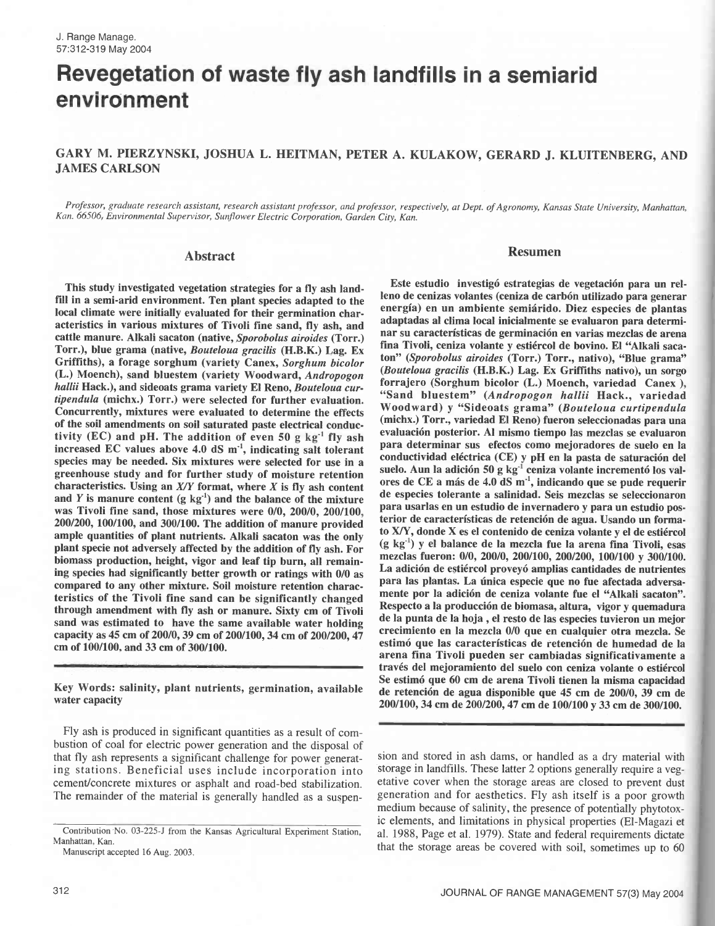# Revegetation of waste fly ash landfills in a semiarid environment

# GARY M. PIERZYNSKI, JOSHUA L. HEITMAN, PETER A. KULAKOW, GERARD J. KLUITENBERG, AND JAMES CARLSON

Professor, graduate research assistant, research assistant professor, and professor, respectively, at Dept. of Agronomy, Kansas State University, Manhattan, Kan. 66506, Environmental Supervisor, Sunflower Electric Corporation, Garden City, Kan.

#### Abstract

This study investigated vegetation strategies for a fly ash landfill in a semi-arid environment. Ten plant species adapted to the local climate were initially evaluated for their germination characteristics in various mixtures of Tivoli fine sand, fly ash, and cattle manure. Alkali sacaton (native, Sporobolus airoides (Torr.) Torr.), blue grama (native, Bouteloua gracilis (H.B.K.) Lag. Ex Griffiths), a forage sorghum (variety Canex, Sorghum bicolor (L.) Moench), sand bluestem (variety Woodward, Andropogon hallii Hack.), and sideoats grama variety El Reno, Bouteloua curhallii Hack., variedad grama variety El Reno, Bouteloua cur-<br>tipendula (michx.) Torr.) were selected for further evaluation. Concurrently, mixtures were evaluated to determine the effects of the soil amendments on soil saturated paste electrical conductivity (EC) and pH. The addition of even 50 g  $kg<sup>-1</sup>$  fly ash increased EC values above 4.0 dS  $m<sup>-1</sup>$ , indicating salt tolerant species may be needed. Six mixtures were selected for use in a greenhouse study and for further study of moisture retention characteristics. Using an  $X/Y$  format, where  $X$  is fly ash content and  $Y$  is manure content  $(g \ kg<sup>-1</sup>)$  and the balance of the mixture was Tivoli fine sand, those mixtures were 0/0, 200/0, 200/100, 200/200, 100/100, and 300/100. The addition of manure provided ample quantities of plant nutrients. Alkali sacaton was the only plant specie not adversely affected by the addition of fly ash. For biomass production, height, vigor and leaf tip burn, all remaining species had significantly better growth or ratings with 0/0 as compared to any other mixture. Soil moisture retention characteristics of the Tivoli fine sand can be significantly changed through amendment with fly ash or manure. Sixty cm of Tivoli sand was estimated to have the same available water holding capacity as 45 cm of 200/0, 39 cm of 200/100, 34 cm of 200/200, 47 cm of 100/100, and 33 cm of 300/100.

Key Words: salinity, plant nutrients, germination, available water capacity

Fly ash is produced in significant quantities as a result of combustion of coal for electric power generation and the disposal of that fly ash represents a significant challenge for power generating stations. Beneficial uses include incorporation into cement/concrete mixtures or asphalt and road -bed stabilization. The remainder of the material is generally handled as a suspen-

Manuscript accepted 16 Aug. 2003.

### Resumen

Este estudio investigó estrategias de vegetación para un relleno de cenizas volantes (ceniza de carbón utilizado para generar energía) en un ambiente semiárido. Diez especies de plantas adaptadas al clima local inicialmente se evaluaron para determinar su características de germinación en varias mezclas de arena fina Tivoli, ceniza volante y estiércol de bovino. El "Alkali saca ton" (Sporobolus airoides (Torr.) Torr., nativo), "Blue grama" (Bouteloua gracilis (H.B.K.) Lag. Ex Griffiths nativo), un sorgo forrajero (Sorghum bicolor (L.) Moench, variedad Canex), Woodward) y "Sideoats grama" (Bouteloua curtipendula (michx.) Torr., variedad El Reno) fueron seleccionadas para una evaluación posterior. Al mismo tiempo las mezclas se evaluaron para determinar sus efectos como mejoradores de suelo en la conductividad eléctrica (CE) y pH en la pasta de saturación del suelo. Aun la adición 50 g kg<sup>-1</sup> ceniza volante incrementó los valores de CE a más de 4.0 dS m', indicando que se pude requerir de especies tolerante a salinidad. Seis mezclas se seleccionaron para usarlas en un estudio de invernadero y para un estudio posterior de características de retención de agua. Usando un formato X/Y, donde X es el contenido de ceniza volante y el de estiércol (g kg') y el balance de la mezcla fue la arena fina Tivoli, esas mezclas fueron: 0/0, 200/0, 200/100, 200/200, 100/100 y 300/100. La adición de estiércol proveyó amplias cantidades de nutrientes para las plantas. La única especie que no fue afectada adversamente por la adición de ceniza volante fue el "Alkali sacaton". Respecto a la producción de biomasa, altura, vigor y quemadura de la punta de la hoja , el resto de las especies tuvieron un mejor crecimiento en la mezcla 0/0 que en cualquier otra mezcla. Se estimó que las características de retención de humedad de la arena fina Tivoli pueden ser cambiadas significativamente a través del mejoramiento del suelo con ceniza volante o estiércol Se estimó que 60 cm de arena Tivoli tienen la misma capacidad de retención de agua disponible que 45 cm de 200/0, 39 cm de 200/100, 34 cm de 200/200, 47 cm de 100/100 y 33 cm de 300/100.

sion and stored in ash dams, or handled as a dry material with storage in landfills. These latter 2 options generally require a vegetative cover when the storage areas are closed to prevent dust generation and for aesthetics. Fly ash itself is a poor growth medium because of salinity, the presence of potentially phytotoxic elements, and limitations in physical properties (El-Magazi et al. 1988, Page et al. 1979). State and federal requirements dictate that the storage areas be covered with soil, sometimes up to 60

Contribution No. 03-225-J from the Kansas Agricultural Experiment Station, Manhattan, Kan.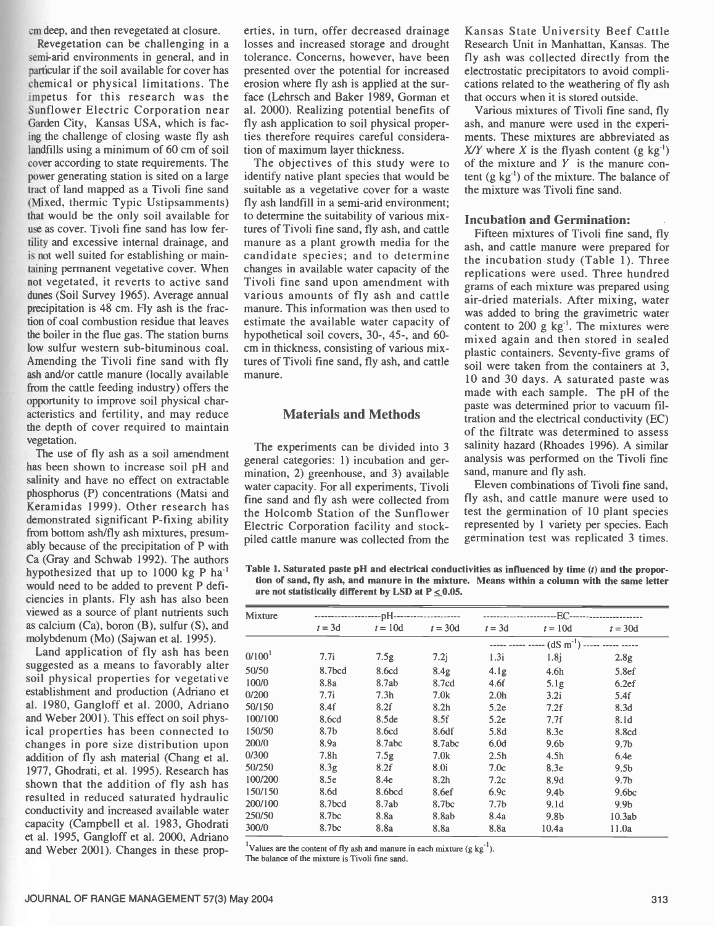cm deep, and then revegetated at closure.

Revegetation can be challenging in a semi-arid environments in general, and in particular if the soil available for cover has chemical or physical limitations. The impetus for this research was the Sunflower Electric Corporation near Garden City, Kansas USA, which is facing the challenge of closing waste fly ash landfills using a minimum of 60 cm of soil cover according to state requirements. The power generating station is sited on a large tract of land mapped as a Tivoli fine sand (Mixed, thermic Typic Ustipsamments) that would be the only soil available for use as cover. Tivoli fine sand has low fertility and excessive internal drainage, and is not well suited for establishing or maintaining permanent vegetative cover. When not vegetated, it reverts to active sand dunes (Soil Survey 1965). Average annual precipitation is 48 cm. Fly ash is the fraction of coal combustion residue that leaves the boiler in the flue gas. The station burns low sulfur western sub-bituminous coal. Amending the Tivoli fine sand with fly ash and/or cattle manure (locally available from the cattle feeding industry) offers the opportunity to improve soil physical characteristics and fertility, and may reduce the depth of cover required to maintain vegetation.

The use of fly ash as a soil amendment has been shown to increase soil pH and salinity and have no effect on extractable phosphorus (P) concentrations (Matsi and Keramidas 1999). Other research has demonstrated significant P-fixing ability from bottom ash/fly ash mixtures, presumably because of the precipitation of P with Ca (Gray and Schwab 1992). The authors hypothesized that up to  $1000$  kg P ha<sup>-1</sup> would need to be added to prevent P deficiencies in plants. Fly ash has also been viewed as a source of plant nutrients such as calcium (Ca), boron (B), sulfur (S), and molybdenum (Mo) (Sajwan et al. 1995).

Land application of fly ash has been suggested as a means to favorably alter soil physical properties for vegetative establishment and production (Adriano et al. 1980, Gangloff et al. 2000, Adriano and Weber 2001). This effect on soil physical properties has been connected to changes in pore size distribution upon addition of fly ash material (Chang et al. 1977, Ghodrati, et al. 1995). Research has shown that the addition of fly ash has resulted in reduced saturated hydraulic conductivity and increased available water capacity (Campbell et al. 1983, Ghodrati et al. 1995, Gangloff et al. 2000, Adriano and Weber 2001). Changes in these properties, in turn, offer decreased drainage losses and increased storage and drought tolerance. Concerns, however, have been presented over the potential for increased erosion where fly ash is applied at the surface (Lehrsch and Baker 1989, Gorman et al. 2000). Realizing potential benefits of fly ash application to soil physical properties therefore requires careful consideration of maximum layer thickness.

The objectives of this study were to identify native plant species that would be suitable as a vegetative cover for a waste fly ash landfill in a semi-arid environment; to determine the suitability of various mixtures of Tivoli fine sand, fly ash, and cattle manure as a plant growth media for the candidate species; and to determine changes in available water capacity of the Tivoli fine sand upon amendment with various amounts of fly ash and cattle manure. This information was then used to estimate the available water capacity of hypothetical soil covers, 30-, 45-, and 60cm in thickness, consisting of various mixtures of Tivoli fine sand, fly ash, and cattle manure.

## Materials and Methods

The experiments can be divided into 3 general categories: 1) incubation and germination, 2) greenhouse, and 3) available water capacity. For all experiments, Tivoli fine sand and fly ash were collected from the Holcomb Station of the Sunflower Electric Corporation facility and stockpiled cattle manure was collected from the

Kansas State University Beef Cattle Research Unit in Manhattan, Kansas. The fly ash was collected directly from the electrostatic precipitators to avoid complications related to the weathering of fly ash that occurs when it is stored outside.

Various mixtures of Tivoli fine sand, fly ash, and manure were used in the experiments. These mixtures are abbreviated as X/Y where X is the flyash content (g  $kg^{-1}$ ) of the mixture and  $Y$  is the manure content  $(g \text{ kg}^{-1})$  of the mixture. The balance of the mixture was Tivoli fine sand.

## Incubation and Germination:

Fifteen mixtures of Tivoli fine sand, fly ash, and cattle manure were prepared for the incubation study (Table 1). Three replications were used. Three hundred grams of each mixture was prepared using air -dried materials. After mixing, water was added to bring the gravimetric water content to 200 g  $\text{kg}^{-1}$ . The mixtures were mixed again and then stored in sealed plastic containers. Seventy -five grams of soil were taken from the containers at 3, 10 and 30 days. A saturated paste was made with each sample. The pH of the paste was determined prior to vacuum filtration and the electrical conductivity (EC) of the filtrate was determined to assess salinity hazard (Rhoades 1996). A similar analysis was performed on the Tivoli fine sand, manure and fly ash.

Eleven combinations of Tivoli fine sand, fly ash, and cattle manure were used to test the germination of 10 plant species represented by 1 variety per species. Each germination test was replicated 3 times.

Table 1. Saturated paste pH and electrical conductivities as influenced by time  $(t)$  and the proportion of sand, fly ash, and manure in the mixture. Means within a column with the same letter are not statistically different by LSD at  $P < 0.05$ .

| Mixture            |                   |                   |                   |                  |                                                                                         |                   |
|--------------------|-------------------|-------------------|-------------------|------------------|-----------------------------------------------------------------------------------------|-------------------|
|                    | $t = 3d$          | $t = 10d$         | $t = 30d$         | $t = 3d$         | $t = 10d$                                                                               | $t = 30d$         |
|                    |                   |                   |                   |                  | $\cdots$ $\cdots$ $\cdots$ $\cdots$ $(dS \overline{m}^{-1})$ $\cdots$ $\cdots$ $\cdots$ |                   |
| 0/100 <sup>1</sup> | 7.7i              | 7.5g              | 7.2j              | 1.3i             | 1.8 <sub>i</sub>                                                                        | 2.8 <sub>g</sub>  |
| 50/50              | 8.7bcd            | 8.6cd             | 8.4 <sub>g</sub>  | 4.1 <sub>g</sub> | 4.6 <sub>h</sub>                                                                        | 5.8ef             |
| 100/0              | 8.8a              | 8.7ab             | 8.7cd             | 4.6f             | 5.1g                                                                                    | 6.2ef             |
| 0/200              | 7.7i              | 7.3 <sub>h</sub>  | 7.0k              | 2.0 <sub>h</sub> | 3.2i                                                                                    | 5.4f              |
| 50/150             | 8.4f              | 8.2f              | 8.2 <sub>h</sub>  | 5.2e             | 7.2f                                                                                    | 8.3d              |
| 100/100            | 8.6cd             | 8.5 <sub>de</sub> | 8.5f              | 5.2e             | 7.7f                                                                                    | 8.1d              |
| 150/50             | 8.7 <sub>b</sub>  | 8.6cd             | 8.6df             | 5.8d             | 8.3e                                                                                    | 8.8cd             |
| 200/0              | 8.9a              | 8.7abc            | 8.7abc            | 6.0d             | 9.6b                                                                                    | 9.7 <sub>b</sub>  |
| 0/300              | 7.8 <sub>h</sub>  | 7.5g              | 7.0k              | 2.5 <sub>h</sub> | 4.5 <sub>h</sub>                                                                        | 6.4e              |
| 50/250             | 8.3g              | 8.2f              | 8.0i              | 7.0c             | 8.3e                                                                                    | 9.5 <sub>b</sub>  |
| 100/200            | 8.5e              | 8.4e              | 8.2 <sub>h</sub>  | 7.2c             | 8.9d                                                                                    | 9.7 <sub>b</sub>  |
| 150/150            | 8.6d              | 8.6bcd            | 8.6ef             | 6.9c             | 9.4 <sub>b</sub>                                                                        | 9.6 <sub>bc</sub> |
| 200/100            | 8.7bcd            | 8.7ab             | 8.7 <sub>bc</sub> | 7.7 <sub>b</sub> | 9.1 <sub>d</sub>                                                                        | 9.9 <sub>b</sub>  |
| 250/50             | 8.7 <sub>bc</sub> | 8.8a              | 8.8ab             | 8.4a             | 9.8 <sub>b</sub>                                                                        | 10.3ab            |
| 300/0              | 8.7 <sub>bc</sub> | 8.8a              | 8.8a              | 8.8a             | 10.4a                                                                                   | 11.0a             |

<sup>1</sup>Values are the content of fly ash and manure in each mixture (g kg<sup>-1</sup>).

The balance of the mixture is Tivoli fine sand.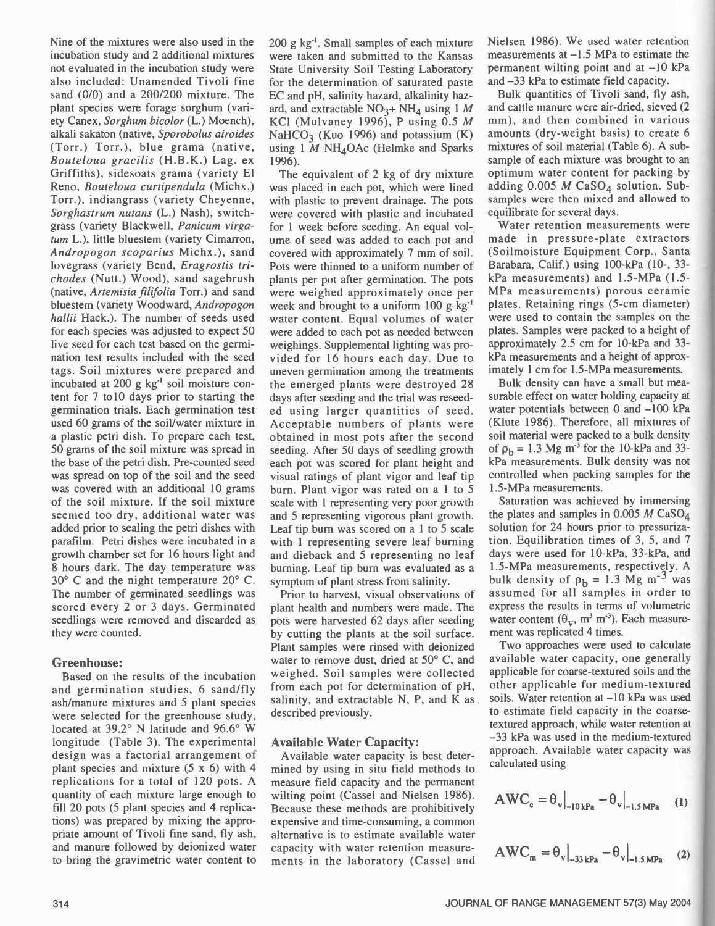Nine of the mixtures were also used in the incubation study and 2 additional mixtures not evaluated in the incubation study were also included: Unamended Tivoli fine sand (0/0) and a 200/200 mixture. The plant species were forage sorghum (variety Canex, Sorghum bicolor (L.) Moench), alkali sakaton (native, Sporobolus airoides (Torr.) Torr.), blue grama (native, Bouteloua gracilis (H.B.K.) Lag. ex Griffiths), sidesoats grama (variety El Reno, Bouteloua curtipendula (Michx.) Torr.), indiangrass (variety Cheyenne, Sorghastrum nutans (L.) Nash), switch grass (variety Blackwell, Panicum virgatum L.), little bluestem (variety Cimarron, Andropogon scoparius Michx.), sand lovegrass (variety Bend, Eragrostis trichodes (Nutt.) Wood), sand sagebrush (native, Artemisia filifolia Torr.) and sand bluestem (variety Woodward, Andropogon hallii Hack.). The number of seeds used for each species was adjusted to expect 50 live seed for each test based on the germination test results included with the seed tags. Soil mixtures were prepared and incubated at 200 g  $kg^{-1}$  soil moisture content for 7 tol0 days prior to starting the germination trials. Each germination test used 60 grams of the soil/water mixture in Acceptable numbers of plants were a plastic petri dish. To prepare each test, 50 grams of the soil mixture was spread in the base of the petri dish. Pre-counted seed was spread on top of the soil and the seed was covered with an additional 10 grams of the soil mixture. If the soil mixture seemed too dry, additional water was added prior to sealing the petri dishes with parafilm. Petri dishes were incubated in a growth chamber set for 16 hours light and 8 hours dark. The day temperature was 30° C and the night temperature 20° C. The number of germinated seedlings was scored every 2 or 3 days. Germinated seedlings were removed and discarded as they were counted.

## Greenhouse:

Based on the results of the incubation and germination studies, 6 sand/fly ash/manure mixtures and 5 plant species were selected for the greenhouse study, located at 39.2° N latitude and 96.6° W longitude (Table 3). The experimental design was a factorial arrangement of plant species and mixture (5 x 6) with 4 replications for a total of 120 pots. A quantity of each mixture large enough to fill 20 pots (5 plant species and 4 replications) was prepared by mixing the appropriate amount of Tivoli fine sand, fly ash, and manure followed by deionized water to bring the gravimetric water content to 200 g kg'. Small samples of each mixture were taken and submitted to the Kansas State University Soil Testing Laboratory for the determination of saturated paste EC and pH, salinity hazard, alkalinity hazard, and extractable  $NO<sub>3</sub>+NH<sub>4</sub>$  using 1 M KC1 (Mulvaney 1996), P using 0.5 M NaHCO<sub>3</sub> (Kuo 1996) and potassium  $(K)$ using 1  $\dot{M}$  NH<sub>4</sub>OAc (Helmke and Sparks 1996).

The equivalent of 2 kg of dry mixture was placed in each pot, which were lined with plastic to prevent drainage. The pots were covered with plastic and incubated for 1 week before seeding. An equal volume of seed was added to each pot and covered with approximately 7 mm of soil. Pots were thinned to a uniform number of plants per pot after germination. The pots were weighed approximately once per week and brought to a uniform 100 g kg' water content. Equal volumes of water were added to each pot as needed between weighings. Supplemental lighting was provided for 16 hours each day. Due to uneven germination among the treatments the emerged plants were destroyed 28 days after seeding and the trial was reseeded using larger quantities of seed. obtained in most pots after the second seeding. After 50 days of seedling growth each pot was scored for plant height and visual ratings of plant vigor and leaf tip burn. Plant vigor was rated on a 1 to 5 scale with 1 representing very poor growth and 5 representing vigorous plant growth. Leaf tip burn was scored on a 1 to 5 scale with 1 representing severe leaf burning and dieback and 5 representing no leaf burning. Leaf tip burn was evaluated as a symptom of plant stress from salinity.

Prior to harvest, visual observations of plant health and numbers were made. The pots were harvested 62 days after seeding by cutting the plants at the soil surface. Plant samples were rinsed with deionized water to remove dust, dried at 50° C, and weighed. Soil samples were collected from each pot for determination of pH, salinity, and extractable N, P, and K as described previously.

#### Available Water Capacity:

Available water capacity is best determined by using in situ field methods to measure field capacity and the permanent wilting point (Cassel and Nielsen 1986). Because these methods are prohibitively expensive and time-consuming, a common alternative is to estimate available water capacity with water retention measurements in the laboratory (Cassel and Nielsen 1986). We used water retention measurements at  $-1.5$  MPa to estimate the permanent wilting point and at  $-10$  kPa and  $-33$  kPa to estimate field capacity.

Bulk quantities of Tivoli sand, fly ash, and cattle manure were air -dried, sieved (2 mm), and then combined in various amounts (dry- weight basis) to create 6 mixtures of soil material (Table 6). A subsample of each mixture was brought to an optimum water content for packing by adding  $0.005$  *M* CaSO<sub>4</sub> solution. Subsamples were then mixed and allowed to equilibrate for several days.

Water retention measurements were made in pressure -plate extractors (Soilmoisture Equipment Corp., Santa Barabara, Calif.) using 100-kPa (10-, 33kPa measurements) and 1.5 -MPa (1.5- MPa measurements) porous ceramic plates. Retaining rings (5 -cm diameter) were used to contain the samples on the plates. Samples were packed to a height of approximately 2.5 cm for 10 -kPa and 33 kPa measurements and a height of approximately 1 cm for 1.5-MPa measurements.

Bulk density can have a small but measurable effect on water holding capacity at water potentials between  $0$  and  $-100$  kPa (Klute 1986). Therefore, all mixtures of soil material were packed to a bulk density of  $\rho_b = 1.3$  Mg m<sup>-3</sup> for the 10-kPa and 33kPa measurements. Bulk density was not controlled when packing samples for the 1.5 -MPa measurements.

Saturation was achieved by immersing the plates and samples in  $0.005$  M CaSO<sub>4</sub> solution for 24 hours prior to pressurization. Equilibration times of 3, 5, and 7 days were used for 10-kPa, 33-kPa, and 1.5 -MPa measurements, respectively. A bulk density of  $\rho_h = 1.3$  Mg m<sup>-3</sup> was assumed for all samples in order to express the results in terms of volumetric water content  $(\theta_v, m^3 m^3)$ . Each measurement was replicated 4 times.

Two approaches were used to calculate available water capacity, one generally applicable for coarse textured soils and the other applicable for medium-textured soils. Water retention at  $-10$  kPa was used to estimate field capacity in the coarsetextured approach, while water retention at -33 kPa was used in the medium-textured approach. Available water capacity was calculated using

$$
AWC_c = \theta_v\big|_{-10\,\text{kPa}} - \theta_v\big|_{-1.5\,\text{MPa}} \quad (1)
$$

$$
AWC_m = \theta_v\big|_{-33\,\text{kPa}} - \theta_v\big|_{-1.5\,\text{MPa}} \quad (2)
$$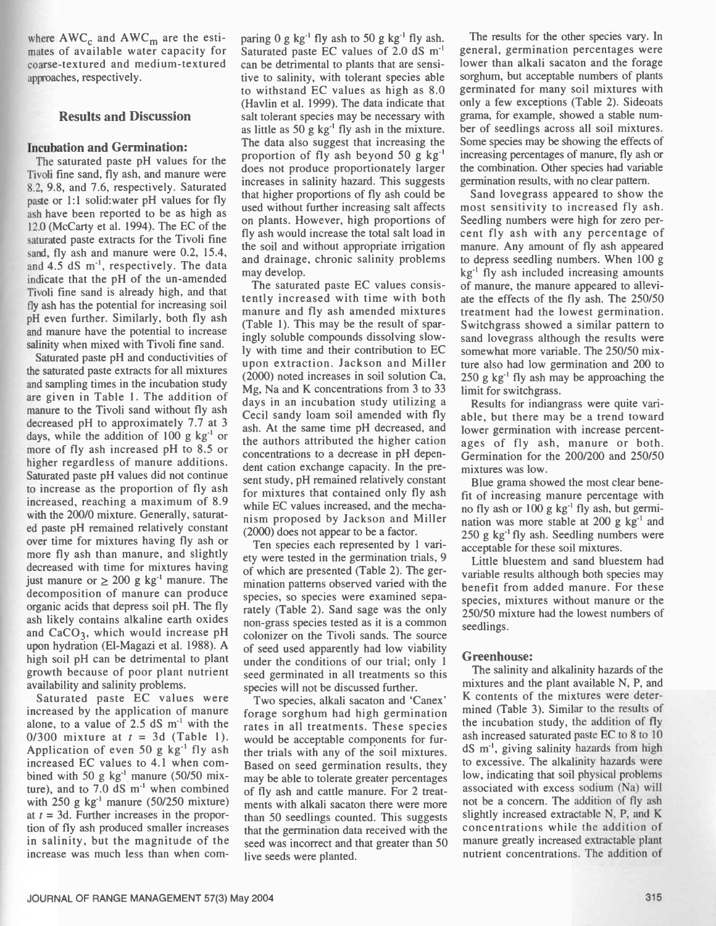where  $AWC_c$  and  $AWC_m$  are the estimates of available water capacity for coarse-textured and medium-textured approaches, respectively.

## Results and Discussion

# Incubation and Germination:

The saturated paste pH values for the Tivoli fine sand, fly ash, and manure were 8.2, 9.8, and 7.6, respectively. Saturated paste or 1:1 solid:water pH values for fly ash have been reported to be as high as 12.0 (McCarty et al. 1994). The EC of the saturated paste extracts for the Tivoli fine sand, fly ash and manure were 0.2, 15.4, and 4.5 dS m<sup>-1</sup>, respectively. The data indicate that the pH of the un-amended Tivoli fine sand is already high, and that fly ash has the potential for increasing soil pH even further. Similarly, both fly ash and manure have the potential to increase salinity when mixed with Tivoli fine sand.

Saturated paste pH and conductivities of the saturated paste extracts for all mixtures and sampling times in the incubation study are given in Table 1. The addition of manure to the Tivoli sand without fly ash decreased pH to approximately 7.7 at 3 days, while the addition of  $100 \text{ g kg}^{-1}$  or more of fly ash increased pH to 8.5 or higher regardless of manure additions. Saturated paste pH values did not continue to increase as the proportion of fly ash increased, reaching a maximum of 8.9 with the 200/0 mixture. Generally, saturated paste pH remained relatively constant over time for mixtures having fly ash or more fly ash than manure, and slightly decreased with time for mixtures having just manure or  $> 200$  g kg<sup>-1</sup> manure. The decomposition of manure can produce organic acids that depress soil pH. The fly ash likely contains alkaline earth oxides and  $CaCO<sub>3</sub>$ , which would increase pH upon hydration (El-Magazi et al. 1988). A high soil pH can be detrimental to plant growth because of poor plant nutrient<br>availability and salinity problems.

Saturated paste EC values were increased by the application of manure alone, to a value of  $2.5$  dS m<sup>-1</sup> with the 0/300 mixture at  $t = 3d$  (Table 1). Application of even 50 g  $kg^{-1}$  fly ash increased EC values to 4.1 when combined with 50 g  $kg^{-1}$  manure (50/50 mixture), and to  $7.0 \text{ dS} \text{ m}^{-1}$  when combined with  $250$  g kg<sup>-1</sup> manure (50/250 mixture) at  $t = 3d$ . Further increases in the proportion of fly ash produced smaller increases in salinity, but the magnitude of the increase was much less than when com-

paring  $0$  g kg<sup>-1</sup> fly ash to 50 g kg<sup>-1</sup> fly ash. Saturated paste EC values of 2.0 dS m' can be detrimental to plants that are sensitive to salinity, with tolerant species able to withstand EC values as high as 8.0 (Havlin et al. 1999). The data indicate that salt tolerant species may be necessary with as little as  $50 g kg^{-1}$  fly ash in the mixture. The data also suggest that increasing the proportion of fly ash beyond 50 g  $kg^{-1}$ does not produce proportionately larger increases in salinity hazard. This suggests that higher proportions of fly ash could be used without further increasing salt affects on plants. However, high proportions of fly ash would increase the total salt load in the soil and without appropriate irrigation and drainage, chronic salinity problems may develop.

The saturated paste EC values consistently increased with time with both manure and fly ash amended mixtures (Table 1). This may be the result of sparingly soluble compounds dissolving slowly with time and their contribution to EC upon extraction. Jackson and Miller (2000) noted increases in soil solution Ca, Mg, Na and K concentrations from 3 to 33 days in an incubation study utilizing a Cecil sandy loam soil amended with fly ash. At the same time pH decreased, and lower germination with increase percentthe authors attributed the higher cation concentrations to a decrease in pH dependent cation exchange capacity. In the present study, pH remained relatively constant for mixtures that contained only fly ash while EC values increased, and the mechanism proposed by Jackson and Miller (2000) does not appear to be a factor.

Ten species each represented by 1 variety were tested in the germination trials, 9 of which are presented (Table 2). The germination patterns observed varied with the species, so species were examined separately (Table 2). Sand sage was the only non -grass species tested as it is a common colonizer on the Tivoli sands. The source of seed used apparently had low viability under the conditions of our trial; only 1 seed germinated in all treatments so this species will not be discussed further.

Two species, alkali sacaton and 'Canex' forage sorghum had high germination rates in all treatments. These species would be acceptable components for further trials with any of the soil mixtures. Based on seed germination results, they may be able to tolerate greater percentages of fly ash and cattle manure. For 2 treatments with alkali sacaton there were more than 50 seedlings counted. This suggests that the germination data received with the seed was incorrect and that greater than 50 live seeds were planted.

The results for the other species vary. In general, germination percentages were lower than alkali sacaton and the forage sorghum, but acceptable numbers of plants germinated for many soil mixtures with only a few exceptions (Table 2). Sideoats grama, for example, showed a stable number of seedlings across all soil mixtures. Some species may be showing the effects of increasing percentages of manure, fly ash or the combination. Other species had variable germination results, with no clear pattern.

Sand lovegrass appeared to show the most sensitivity to increased fly ash. Seedling numbers were high for zero percent fly ash with any percentage of manure. Any amount of fly ash appeared to depress seedling numbers. When 100 g  $kg<sup>-1</sup>$  fly ash included increasing amounts of manure, the manure appeared to alleviate the effects of the fly ash. The 250/50 treatment had the lowest germination. Switchgrass showed a similar pattern to sand lovegrass although the results were somewhat more variable. The 250/50 mixture also had low germination and 200 to  $250$  g kg<sup>-1</sup> fly ash may be approaching the limit for switchgrass.

Results for indiangrass were quite variable, but there may be a trend toward ages of fly ash, manure or both. Germination for the 200/200 and 250/50 mixtures was low.

Blue grama showed the most clear benefit of increasing manure percentage with no fly ash or 100 g  $kg^{-1}$  fly ash, but germination was more stable at 200 g  $kg^{-1}$  and 250 g  $kg^{-1}$  fly ash. Seedling numbers were acceptable for these soil mixtures.

Little bluestem and sand bluestem had variable results although both species may benefit from added manure. For these species, mixtures without manure or the 250/50 mixture had the lowest numbers of seedlings.

## Greenhouse:

The salinity and alkalinity hazards of the mixtures and the plant available N, P, and K contents of the mixtures were determined (Table 3). Similar to the results of the incubation study, the addition of fly ash increased saturated paste EC to 8 to 10 dS m', giving salinity hazards from high to excessive. The alkalinity hazards were low, indicating that soil physical problems associated with excess sodium (Na) will not be a concern. The addition of fly ash slightly increased extractable N, P, and K concentrations while the addition of manure greatly increased extractable plant nutrient concentrations. The addition of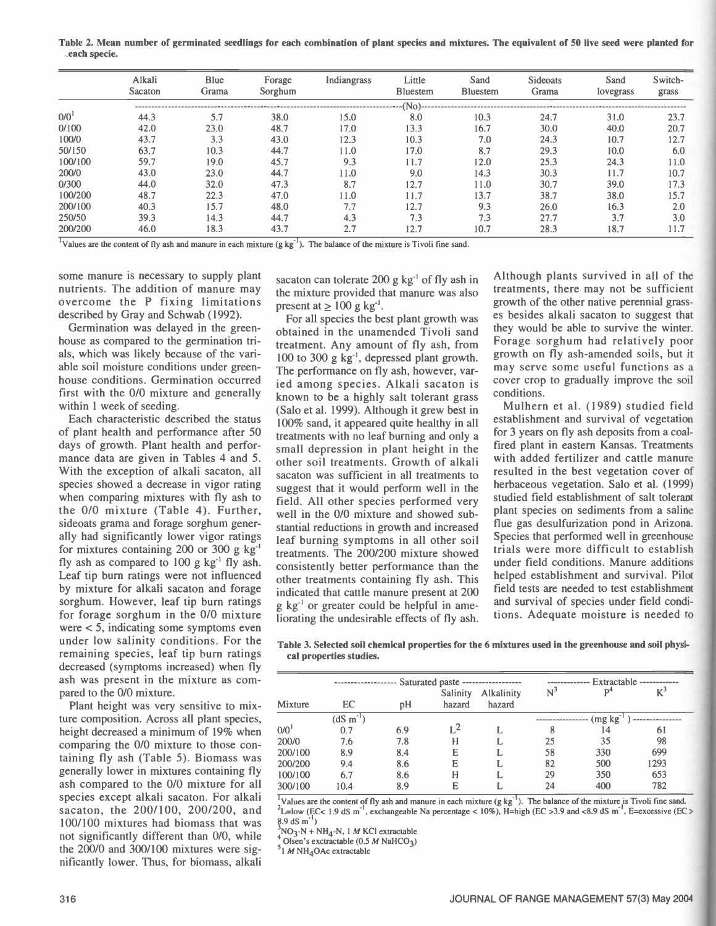Table 2. Mean number of germinated seedlings for each combination of plant species and mixtures. The equivalent of 50 live seed were planted for each specie.

|                  | Alkali<br>Sacaton | Blue<br>Grama | Forage<br>Sorghum | Indiangrass | Little<br><b>Bluestem</b> | Sand<br><b>Bluestem</b> | Sideoats<br>Grama | Sand<br>lovegrass | Switch-<br>grass |
|------------------|-------------------|---------------|-------------------|-------------|---------------------------|-------------------------|-------------------|-------------------|------------------|
|                  |                   |               |                   |             |                           |                         |                   |                   |                  |
| 0/0 <sup>1</sup> | 44.3              | 5.7           | 38.0              | 15.0        | 8.0                       | 10.3                    | 24.7              | 31.0              | 23.7             |
| 0/100            | 42.0              | 23.0          | 48.7              | 17.0        | 13.3                      | 16.7                    | 30.0              | 40.0              | 20.7             |
| 100/0            | 43.7              | 3.3           | 43.0              | 12.3        | 10.3                      | 7.0                     | 24.3              | 10.7              | 12.7             |
| 50/150           | 63.7              | 10.3          | 44.7              | 11.0        | 17.0                      | 8.7                     | 29.3              | 10.0              | 6.0              |
| 100/100          | 59.7              | 19.0          | 45.7              | 9.3         | 11.7                      | 12.0                    | 25.3              | 24.3              | 11.0             |
| 200/0            | 43.0              | 23.0          | 44.7              | 11.0        | 9.0                       | 14.3                    | 30.3              | 11.7              | 10.7             |
| 0/300            | 44.0              | 32.0          | 47.3              | 8.7         | 12.7                      | 11.0                    | 30.7              | 39.0              | 17.3             |
| 100/200          | 48.7              | 22.3          | 47.0              | 11.0        | 11.7                      | 13.7                    | 38.7              | 38.0              | 15.7             |
| 200/100          | 40.3              | 15.7          | 48.0              | 7.7         | 12.7                      | 9.3                     | 26.0              | 16.3              | 2.0              |
| 250/50           | 39.3              | 14.3          | 44.7              | 4.3         | 7.3                       | 7.3                     | 27.7              | 3.7               | 3.0              |
| 200/200          | 46.0              | 18.3          | 43.7              | 2.7         | 12.7                      | 10.7                    | 28.3              | 18.7              | 1.7              |

<sup>1</sup>Values are the content of fly ash and manure in each mixture (g kg<sup>-1</sup>). The balance of the mixture is Tivoli fine sand.

some manure is necessary to supply plant nutrients. The addition of manure may overcome the P fixing limitations described by Gray and Schwab (1992).

Germination was delayed in the greenhouse as compared to the germination trials, which was likely because of the variable soil moisture conditions under greenhouse conditions. Germination occurred first with the 0/0 mixture and generally within 1 week of seeding.

Each characteristic described the status of plant health and performance after 50 days of growth. Plant health and performance data are given in Tables 4 and 5. With the exception of alkali sacaton, all species showed a decrease in vigor rating when comparing mixtures with fly ash to the 0/0 mixture (Table 4). Further, sideoats grama and forage sorghum generally had significantly lower vigor ratings for mixtures containing 200 or 300 g kg' fly ash as compared to  $100 \text{ g kg}^{-1}$  fly ash. Leaf tip burn ratings were not influenced by mixture for alkali sacaton and forage sorghum. However, leaf tip burn ratings for forage sorghum in the 0/0 mixture were < 5, indicating some symptoms even under low salinity conditions. For the remaining species, leaf tip burn ratings decreased (symptoms increased) when fly ash was present in the mixture as compared to the 0/0 mixture.

Plant height was very sensitive to mixture composition. Across all plant species, height decreased a minimum of 19% when comparing the 0/0 mixture to those containing fly ash (Table 5). Biomass was generally lower in mixtures containing fly ash compared to the 0/0 mixture for all species except alkali sacaton. For alkali sacaton, the 200/100, 200/200, and 100/100 mixtures had biomass that was not significantly different than 0/0, while the  $200/0$  and  $300/100$  mixtures were significantly lower. Thus, for biomass, alkali

sacaton can tolerate 200 g  $kg<sup>-1</sup>$  of fly ash in the mixture provided that manure was also present at  $\geq 100$  g kg<sup>-1</sup>.

For all species the best plant growth was obtained in the unamended Tivoli sand treatment. Any amount of fly ash, from 100 to 300 g kg', depressed plant growth. The performance on fly ash, however, varied among species. Alkali sacaton is known to be a highly salt tolerant grass (Salo et al. 1999). Although it grew best in 100% sand, it appeared quite healthy in all treatments with no leaf burning and only a small depression in plant height in the other soil treatments. Growth of alkali sacaton was sufficient in all treatments to suggest that it would perform well in the field. All other species performed very well in the 0/0 mixture and showed substantial reductions in growth and increased leaf burning symptoms in all other soil treatments. The 200/200 mixture showed consistently better performance than the other treatments containing fly ash. This indicated that cattle manure present at 200  $g \text{ kg}^{-1}$  or greater could be helpful in ameliorating the undesirable effects of fly ash.

Although plants survived in all of the treatments, there may not be sufficient growth of the other native perennial grasses besides alkali sacaton to suggest that they would be able to survive the winter. Forage sorghum had relatively poor growth on fly ash amended soils, but it may serve some useful functions as a cover crop to gradually improve the soil conditions.

Mulhern et al. (1989) studied field establishment and survival of vegetation for 3 years on fly ash deposits from a coalfired plant in eastern Kansas. Treatments with added fertilizer and cattle manure resulted in the best vegetation cover of herbaceous vegetation. Salo et al. (1999) studied field establishment of salt tolerant plant species on sediments from a saline flue gas desulfurization pond in Arizona. Species that performed well in greenhouse trials were more difficult to establish under field conditions. Manure additions helped establishment and survival. Pilot field tests are needed to test establishment and survival of species under field conditions. Adequate moisture is needed to

Table 3. Selected soil chemical properties for the 6 mixtures used in the greenhouse and soil physical properties studies.

|                    |                  |     | Saturated paste ------------------- |                      | $\mathrm{N}^3$ |         | Extractable --<br>$\rm\,K}^{3}$<br>D <sup>4</sup> |  |  |
|--------------------|------------------|-----|-------------------------------------|----------------------|----------------|---------|---------------------------------------------------|--|--|
| Mixture            | EC               | pH  | Salinity<br>hazard                  | Alkalinity<br>hazard |                |         |                                                   |  |  |
|                    | $(dS \, m^{-1})$ |     |                                     |                      |                | (mg kg) |                                                   |  |  |
| $0/0$ <sup>1</sup> | 0.7              | 6.9 | $L^2$                               |                      |                | 14      | 61                                                |  |  |
| 200/0              | 7.6              | 7.8 | н                                   |                      | 25             | 35      | 98                                                |  |  |
| 200/100            | 8.9              | 8.4 | E                                   |                      | 58             | 330     | 699                                               |  |  |
| 200/200            | 9.4              | 8.6 | E                                   |                      | 82             | 500     | 1293                                              |  |  |
| 100/100            | 6.7              | 8.6 | Н                                   |                      | 29             | 350     | 653                                               |  |  |
| 300/100            | 10.4             | 8.9 | E                                   |                      | 24             | 400     | 782                                               |  |  |

 $\frac{1}{2}$ Values are the content of fly ash and manure in each mixture (g kg<sup>-1</sup>). The balance of the mixture is Tivoli fine sand. <sup>2</sup>L=low (EC< 1.9 dS m<sup>-1</sup>, exchangeable Na percentage < 10%), H=high (EC > 3.9 and <8.9 dS m<sup>-1</sup>, E=excessive (EC >  $8.9$  dS m<sup>-1</sup>)

 $NO<sub>3</sub>-N + NH<sub>4</sub>-N$ , 1 *M* KCl extractable

Olsen's exctractable (0.5  $M$  NaHCO<sub>3</sub>)

 $<sup>5</sup>1$  M NH<sub>4</sub>OAc extractable</sup>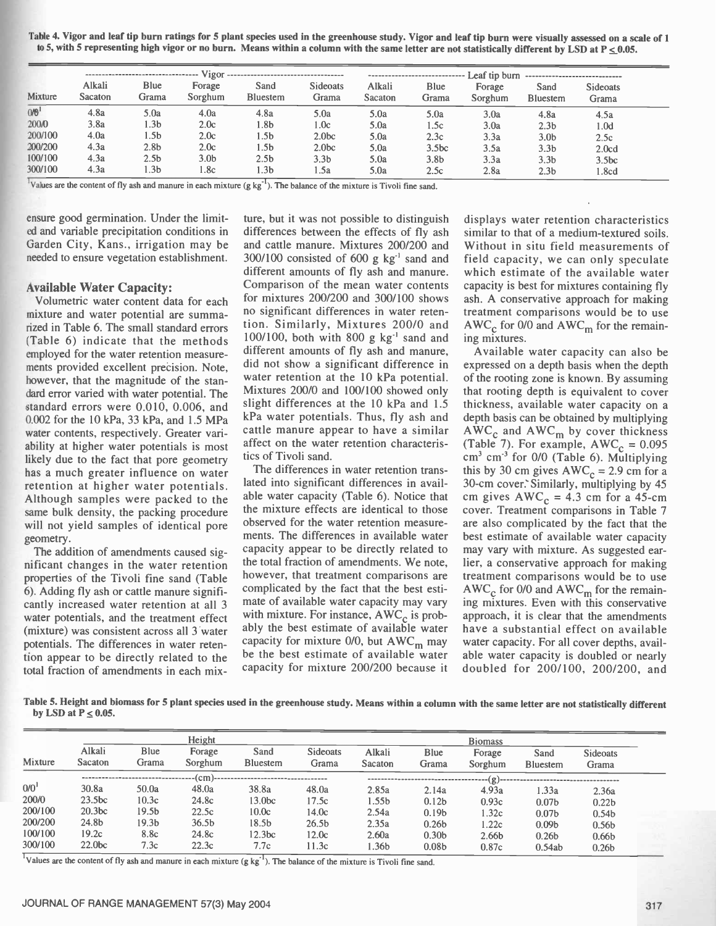Table 4. Vigor and leaf tip burn ratings for 5 plant species used in the greenhouse study. Vigor and leaf tip burn were visually assessedon a scale of 1 to 5, with 5 representing high vigor or no burn. Means within a column with the same letter are not statistically different by LSD at  $P \le 0.05$ .

|                  |                   |                  | Vigor             | ------------------------------------ |                          | ---------------------------- |                   |                   |                         |                          |  |  |  |
|------------------|-------------------|------------------|-------------------|--------------------------------------|--------------------------|------------------------------|-------------------|-------------------|-------------------------|--------------------------|--|--|--|
| Mixture          | Alkali<br>Sacaton | Blue<br>Grama    | Forage<br>Sorghum | Sand<br><b>Bluestem</b>              | <b>Sideoats</b><br>Grama | Alkali<br>Sacaton            | Blue<br>Grama     | Forage<br>Sorghum | Sand<br><b>Bluestem</b> | <b>Sideoats</b><br>Grama |  |  |  |
| 0/0 <sup>1</sup> | 4.8a              | 5.0a             | 4.0a              | 4.8a                                 | 5.0a                     | 5.0a                         | 5.0a              | 3.0a              | 4.8a                    | 4.5a                     |  |  |  |
| 200/0            | 3.8a              | 1.3b             | 2.0c              | 1.8b                                 | 1.0c                     | 5.0a                         | 1.5c              | 3.0a              | 2.3 <sub>b</sub>        | 1.0d                     |  |  |  |
| 200/100          | 4.0a              | 1.5b             | 2.0c              | 1.5b                                 | 2.0 <sub>bc</sub>        | 5.0a                         | 2.3c              | 3.3a              | 3.0 <sub>b</sub>        | 2.5c                     |  |  |  |
| 200/200          | 4.3a              | 2.8 <sub>b</sub> | 2.0c              | l.5b                                 | 2.0 <sub>bc</sub>        | 5.0a                         | 3.5 <sub>bc</sub> | 3.5a              | 3.3 <sub>b</sub>        | 2.0 <sub>cd</sub>        |  |  |  |
| 100/100          | 4.3a              | 2.5 <sub>b</sub> | 3.0 <sub>b</sub>  | 2.5 <sub>b</sub>                     | 3.3 <sub>b</sub>         | 5.0a                         | 3.8b              | 3.3a              | 3.3 <sub>b</sub>        | 3.5 <sub>bc</sub>        |  |  |  |
| 300/100          | 4.3a              | 1.3b             | l.8c              | 1.3b                                 | 1.5a                     | 5.0a                         | 2.5c              | 2.8a              | 2.3 <sub>b</sub>        | .8cd                     |  |  |  |

<sup>1</sup>Values are the content of fly ash and manure in each mixture  $(g kg<sup>-1</sup>)$ . The balance of the mixture is Tivoli fine sand.

ensure good germination. Under the limited and variable precipitation conditions in Garden City, Kans., irrigation may be needed to ensure vegetation establishment.

#### Available Water Capacity:

Volumetric water content data for each mixture and water potential are summarized in Table 6. The small standard errors (Table 6) indicate that the methods employed for the water retention measurements provided excellent precision. Note, however, that the magnitude of the standard error varied with water potential. The standard errors were 0.010, 0.006, and 0.002 for the 10 kPa, 33 kPa, and 1.5 MPa water contents, respectively. Greater variability at higher water potentials is most likely due to the fact that pore geometry has a much greater influence on water retention at higher water potentials. Although samples were packed to the same bulk density, the packing procedure will not yield samples of identical pore geometry.

The addition of amendments caused significant changes in the water retention properties of the Tivoli fine sand (Table 6). Adding fly ash or cattle manure significantly increased water retention at all 3 water potentials, and the treatment effect (mixture) was consistent across all 3 water potentials. The differences in water retention appear to be directly related to the total fraction of amendments in each mixture, but it was not possible to distinguish differences between the effects of fly ash and cattle manure. Mixtures 200/200 and  $300/100$  consisted of 600 g kg<sup>-1</sup> sand and different amounts of fly ash and manure. Comparison of the mean water contents for mixtures 200/200 and 300/100 shows no significant differences in water retention. Similarly, Mixtures 200/0 and 100/100, both with 800 g  $kg^{-1}$  sand and different amounts of fly ash and manure, did not show a significant difference in water retention at the 10 kPa potential. Mixtures 200/0 and 100/100 showed only slight differences at the 10 kPa and 1.5 kPa water potentials. Thus, fly ash and cattle manure appear to have a similar affect on the water retention characteristics of Tivoli sand.

The differences in water retention translated into significant differences in available water capacity (Table 6). Notice that the mixture effects are identical to those observed for the water retention measurements. The differences in available water capacity appear to be directly related to the total fraction of amendments. We note, however, that treatment comparisons are complicated by the fact that the best estimate of available water capacity may vary with mixture. For instance,  $AWC_c$  is probably the best estimate of available water capacity for mixture  $0/0$ , but AWC<sub>m</sub> may be the best estimate of available water capacity for mixture 200/200 because it

displays water retention characteristics similar to that of a medium-textured soils. Without in situ field measurements of field capacity, we can only speculate which estimate of the available water capacity is best for mixtures containing fly ash. A conservative approach for making treatment comparisons would be to use  $AWC_c$  for 0/0 and  $AWC_m$  for the remaining mixtures.

Available water capacity can also be expressed on a depth basis when the depth of the rooting zone is known. By assuming that rooting depth is equivalent to cover thickness, available water capacity on a depth basis can be obtained by multiplying  $AWC_c$  and  $AWC_m$  by cover thickness (Table 7). For example,  $AWC_c = 0.095$ cm<sup>3</sup> cm<sup>-3</sup> for 0/0 (Table 6). Multiplying this by 30 cm gives  $AWC_c = 2.9$  cm for a 30-cm cover. Similarly, multiplying by 45 cm gives  $AWC_c = 4.3$  cm for a 45-cm cover. Treatment comparisons in Table 7 are also complicated by the fact that the best estimate of available water capacity may vary with mixture. As suggested earlier, a conservative approach for making treatment comparisons would be to use AWC<sub>c</sub> for 0/0 and  $AWC_m$  for the remaining mixtures. Even with this conservative approach, it is clear that the amendments have a substantial effect on available water capacity. For all cover depths, available water capacity is doubled or nearly doubled for 200/100, 200/200, and

Table 5. Height and biomass for 5 plant species used in the greenhouse study. Means within a column with the same letter are not statistically different by LSD at  $P \le 0.05$ .

| Mixture          | Alkali<br>Sacaton  | Blue<br>Grama     | Height<br>Forage<br>Sorghum | Sand<br><b>Bluestem</b> | <b>Sideoats</b><br>Grama | Alkali<br>Sacaton | Blue<br>Grama     | <b>Biomass</b><br>Forage<br>Sorghum | Sand<br><b>Bluestem</b> | <b>Sideoats</b><br>Grama |  |
|------------------|--------------------|-------------------|-----------------------------|-------------------------|--------------------------|-------------------|-------------------|-------------------------------------|-------------------------|--------------------------|--|
|                  |                    |                   |                             |                         |                          |                   |                   | $\dots (g)$                         |                         |                          |  |
| 0/0 <sup>1</sup> | 30.8a              | 50.0a             | 48.0a                       | 38.8a                   | 48.0a                    | 2.85a             | 2.14a             | 4.93a                               | 1.33a                   | 2.36a                    |  |
| 200/0            | 23.5 <sub>bc</sub> | 10.3c             | 24.8c                       | 13.0bc                  | 17.5c                    | l.55b             | 0.12 <sub>b</sub> | 0.93c                               | 0.07 <sub>b</sub>       | 0.22 <sub>b</sub>        |  |
| 200/100          | 20.3 <sub>bc</sub> | 19.5 <sub>b</sub> | 22.5c                       | 10.0c                   | 14.0c                    | 2.54a             | 0.19 <sub>b</sub> | 1.32c                               | 0.07 <sub>b</sub>       | 0.54 <sub>b</sub>        |  |
| 200/200          | 24.8b              | 19.3 <sub>b</sub> | 36.5 <sub>b</sub>           | 18.5b                   | 26.5 <sub>b</sub>        | 2.35a             | 0.26 <sub>b</sub> | 1.22c                               | 0.09 <sub>b</sub>       | 0.56 <sub>b</sub>        |  |
| 100/100          | 19.2c              | 8.8c              | 24.8c                       | 12.3 <sub>bc</sub>      | 12.0c                    | 2.60a             | 0.30 <sub>b</sub> | 2.66b                               | 0.26 <sub>b</sub>       | 0.66 <sub>b</sub>        |  |
| 300/100          | 22.0 <sub>bc</sub> | 7.3c              | 22.3c                       | 7.7c                    | 11.3c                    | .36b              | 0.08 <sub>b</sub> | 0.87c                               | 0.54ab                  | 0.26 <sub>b</sub>        |  |

<sup>1</sup>Values are the content of fly ash and manure in each mixture (g  $kg<sup>-1</sup>$ ). The balance of the mixture is Tivoli fine sand.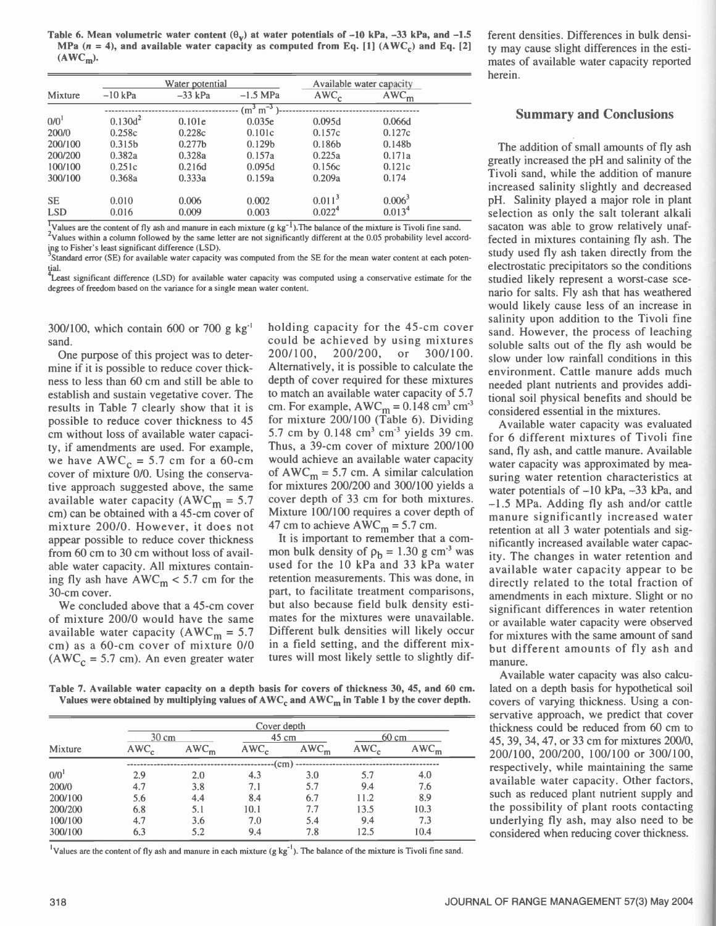Table 6. Mean volumetric water content  $(\theta_v)$  at water potentials of -10 kPa, -33 kPa, and -1.5 MPa  $(n = 4)$ , and available water capacity as computed from Eq. [1] (AWC<sub>c</sub>) and Eq. [2]  $(AWC_m)$ .

|                  |                    | Water potential    |                    | Available water capacity |                    |  |  |
|------------------|--------------------|--------------------|--------------------|--------------------------|--------------------|--|--|
| Mixture          | $-10$ kPa          | $-33$ kPa          | $-1.5$ MPa         | $AWC_c$                  | $AWC_m$            |  |  |
|                  |                    |                    | $(m^3 m^{-3})$     |                          |                    |  |  |
| 0/0 <sup>1</sup> | $0.130d^2$         | 0.101e             | 0.035e             | 0.095d                   | 0.066d             |  |  |
| 200/0            | 0.258c             | 0.228c             | 0.101c             | 0.157c                   | 0.127c             |  |  |
| 200/100          | 0.315 <sub>b</sub> | 0.277 <sub>b</sub> | 0.129 <sub>b</sub> | 0.186b                   | 0.148 <sub>b</sub> |  |  |
| 200/200          | 0.382a             | 0.328a             | 0.157a             | 0.225a                   | 0.171a             |  |  |
| 100/100          | 0.251c             | 0.216d             | 0.095d             | 0.156c                   | 0.121c             |  |  |
| 300/100          | 0.368a             | 0.333a             | 0.159a             | 0.209a                   | 0.174              |  |  |
| <b>SE</b>        | 0.010              | 0.006              | 0.002              | 0.011 <sup>3</sup>       | 0.006 <sup>3</sup> |  |  |
| <b>LSD</b>       | 0.016              | 0.009              | 0.003              | 0.022 <sup>4</sup>       | 0.013 <sup>4</sup> |  |  |

Values are the content of fly ash and manure in each mixture  $(g kg<sup>-1</sup>)$ . The balance of the mixture is Tivoli fine sand. <sup>2</sup>Values within a column followed by the same letter are not significantly different at the 0.05 probability level according to Fisher's least significant difference (LSD).

Standard error (SE) for available water capacity was computed from the SE for the mean water content at each potential.

Least significant difference (LSD) for available water capacity was computed using a conservative estimate for the stud degrees of freedom based on the variance for a single mean water content.

300/100, which contain 600 or 700 g kg' sand.

One purpose of this project was to determine if it is possible to reduce cover thickness to less than 60 cm and still be able to establish and sustain vegetative cover. The results in Table 7 clearly show that it is possible to reduce cover thickness to 45 cm without loss of available water capacity, if amendments are used. For example, we have  $AWC_c = 5.7$  cm for a 60-cm cover of mixture 0/0. Using the conservative approach suggested above, the same available water capacity (AWC<sub>m</sub> = 5.7) cm) can be obtained with a 45 -cm cover of mixture 200/0. However, it does not appear possible to reduce cover thickness from 60 cm to 30 cm without loss of available water capacity. All mixtures containing fly ash have  $\text{AWC}_{\text{m}}$  < 5.7 cm for the 30-cm cover.

We concluded above that a 45-cm cover of mixture 200/0 would have the same available water capacity ( $AWC<sub>m</sub> = 5.7$ cm) as a 60 -cm cover of mixture 0/0 ( $AWC_c = 5.7$  cm). An even greater water

holding capacity for the 45 -cm cover could be achieved by using mixtures 200/100, 200/200, or 300/100. Alternatively, it is possible to calculate the depth of cover required for these mixtures to match an available water capacity of 5.7 cm. For example,  $AWC_m = 0.148$  cm<sup>3</sup> cm<sup>3</sup> for mixture 200/100 (Table 6). Dividing 5.7 cm by  $0.148 \text{ cm}^3 \text{ cm}^3$  yields 39 cm. Thus, a 39-cm cover of mixture 200/100 would achieve an available water capacity of  $AWC_m = 5.7$  cm. A similar calculation for mixtures 200/200 and 300/100 yields a cover depth of 33 cm for both mixtures. Mixture 100/100 requires a cover depth of 47 cm to achieve  $AWC_m = 5.7$  cm.

It is important to remember that a common bulk density of  $\rho_b = 1.30$  g cm<sup>-3</sup> was used for the 10 kPa and 33 kPa water retention measurements. This was done, in part, to facilitate treatment comparisons, but also because field bulk density estimates for the mixtures were unavailable. Different bulk densities will likely occur in a field setting, and the different mixtures will most likely settle to slightly dif-

ferent densities. Differences in bulk density may cause slight differences in the estimates of available water capacity reported herein.

## Summary and Conclusions

The addition of small amounts of fly ash greatly increased the pH and salinity of the Tivoli sand, while the addition of manure increased salinity slightly and decreased pH. Salinity played a major role in plant selection as only the salt tolerant alkali sacaton was able to grow relatively unaffected in mixtures containing fly ash. The study used fly ash taken directly from the electrostatic precipitators so the conditions studied likely represent a worst-case scenario for salts. Fly ash that has weathered would likely cause less of an increase in salinity upon addition to the Tivoli fine sand. However, the process of leaching soluble salts out of the fly ash would be slow under low rainfall conditions in this environment. Cattle manure adds much needed plant nutrients and provides additional soil physical benefits and should be considered essential in the mixtures.

Available water capacity was evaluated for 6 different mixtures of Tivoli fine sand, fly ash, and cattle manure. Available water capacity was approximated by measuring water retention characteristics at water potentials of  $-10$  kPa,  $-33$  kPa, and  $-1.5$  MPa. Adding fly ash and/or cattle manure significantly increased water retention at all 3 water potentials and significantly increased available water capacity. The changes in water retention and available water capacity appear to be directly related to the total fraction of amendments in each mixture. Slight or no significant differences in water retention or available water capacity were observed for mixtures with the same amount of sand but different amounts of fly ash and manure.

Available water capacity was also calculated on a depth basis for hypothetical soil covers of varying thickness. Using a conservative approach, we predict that cover thickness could be reduced from 60 cm to 45, 39, 34, 47, or 33 cm for mixtures 200/0, 200/100, 200/200, 100/100 or 300/100, respectively, while maintaining the same available water capacity. Other factors, such as reduced plant nutrient supply and the possibility of plant roots contacting underlying fly ash, may also need to be considered when reducing cover thickness.

Table 7. Available water capacity on a depth basis for covers of thickness 30, 45, and 60 cm. Values were obtained by multiplying values of  $AWC_c$  and  $AWC_m$  in Table 1 by the cover depth.

|         |                  |         | Cover depth       |         |                  |         |
|---------|------------------|---------|-------------------|---------|------------------|---------|
|         | 30 cm            |         |                   | 45 cm   | $60 \text{ cm}$  |         |
| Mixture | AWC <sub>c</sub> | $AWC_m$ | AWC <sub>c</sub>  | $AWC_m$ | AWC <sub>0</sub> | $AWC_m$ |
|         |                  |         | (c <sub>m</sub> ) |         |                  |         |
| 0/0     | 2.9              | 2.0     | 4.3               | 3.0     | 5.7              | 4.0     |
| 200/0   | 4.7              | 3.8     | 7.1               | 5.7     | 9.4              | 7.6     |
| 200/100 | 5.6              | 4.4     | 8.4               | 6.7     | 11.2             | 8.9     |
| 200/200 | 6.8              | 5.1     | 10.1              | 7.7     | 13.5             | 10.3    |
| 100/100 | 4.7              | 3.6     | 7.0               | 5.4     | 9.4              | 7.3     |
| 300/100 | 6.3              | 5.2     | 9.4               | 7.8     | 12.5             | 10.4    |

<sup>1</sup>Values are the content of fly ash and manure in each mixture (g kg<sup>-1</sup>). The balance of the mixture is Tivoli fine sand.